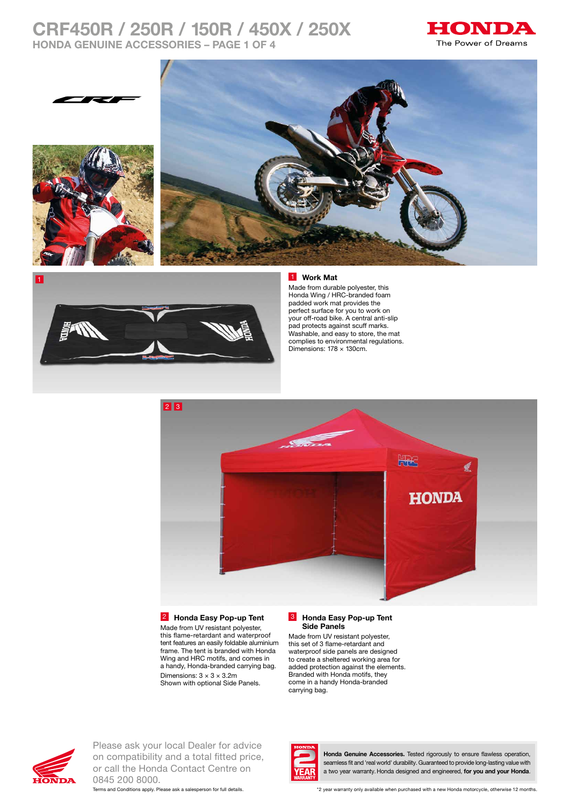# **CRF450R / 250R / 150R / 450X / 250X HONDA GENUINE ACCESSORIES – PAGE 1 OF 4**







### 1 **Work Mat**

Made from durable polyester, this Honda Wing / HRC-branded foam padded work mat provides the perfect surface for you to work on your off-road bike. A central anti-slip pad protects against scuff marks. Washable, and easy to store, the mat complies to environmental regulations. Dimensions: 178 × 130cm.



### 2 **Honda Easy Pop-up Tent**

Made from UV resistant polyester, this flame-retardant and waterproof tent features an easily foldable aluminium frame. The tent is branded with Honda Wing and HRC motifs, and comes in a handy, Honda-branded carrying bag. Dimensions:  $3 \times 3 \times 3.2$ m Shown with optional Side Panels.

#### 3 **Honda Easy Pop-up Tent Side Panels**

Made from UV resistant polyester, this set of 3 flame-retardant and waterproof side panels are designed to create a sheltered working area for added protection against the elements. Branded with Honda motifs, they come in a handy Honda-branded carrying bag.



Please ask your local Dealer for advice on compatibility and a total fitted price, or call the Honda Contact Centre on 0845 200 8000.



**Honda Genuine Accessories.** Tested rigorously to ensure flawless operation, seamless fit and 'real world' durability. Guaranteed to provide long-lasting value with a two year warranty. Honda designed and engineered, **for you and your Honda**.

Terms and Conditions apply. Please ask a salesperson for full details. \*2 year warranty only available when purchased with a new Honda motorcycle, otherwise 12 months.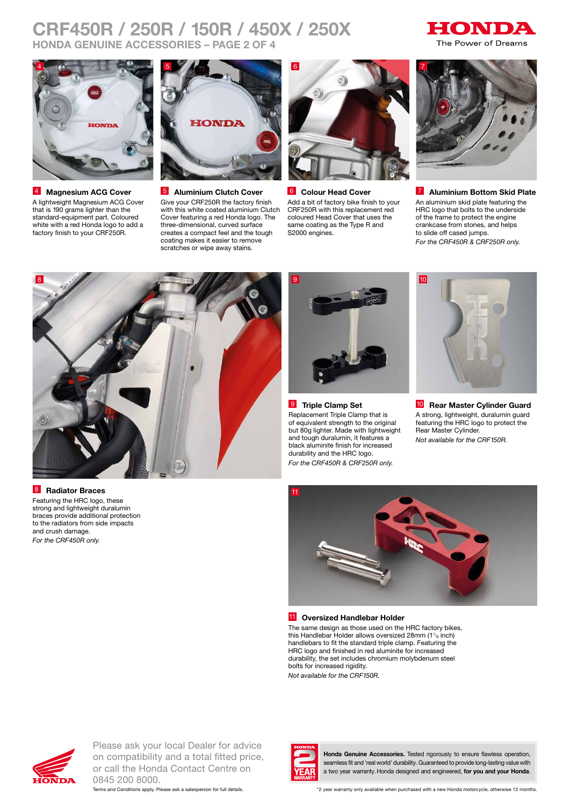# **CRF450R / 250R / 150R / 450X / 250X HONDA GENUINE ACCESSORIES – PAGE 2 OF 4**





4 **Magnesium ACG Cover**  A lightweight Magnesium ACG Cover that is 190 grams lighter than the standard-equipment part. Coloured white with a red Honda logo to add a factory finish to your CRF250R.



5 **Aluminium Clutch Cover** Give your CRF250R the factory finish with this white coated aluminium Clutch Cover featuring a red Honda logo. The three-dimensional, curved surface creates a compact feel and the tough coating makes it easier to remove scratches or wipe away stains.



6 **Colour Head Cover**  Add a bit of factory bike finish to your CRF250R with this replacement red coloured Head Cover that uses the same coating as the Type R and S2000 engines.



7 **Aluminium Bottom Skid Plate** An aluminium skid plate featuring the HRC logo that bolts to the underside of the frame to protect the engine crankcase from stones, and helps to slide off cased jumps. *For the CRF450R & CRF250R only.*



8 **Radiator Braces**

Featuring the HRC logo, these strong and lightweight duralumin braces provide additional protection to the radiators from side impacts and crush damage. *For the CRF450R only.*



9 **Triple Clamp Set** Replacement Triple Clamp that is of equivalent strength to the original but 80g lighter. Made with lightweight and tough duralumin, it features a black aluminite finish for increased durability and the HRC logo. *For the CRF450R & CRF250R only.*



10 **Rear Master Cylinder Guard** A strong, lightweight, duralumin guard featuring the HRC logo to protect the Rear Master Cylinder. *Not available for the CRF150R.*



### 11 **Oversized Handlebar Holder**

The same design as those used on the HRC factory bikes, this Handlebar Holder allows oversized 28mm (1<sup>1/8</sup> inch) handlebars to fit the standard triple clamp. Featuring the HRC logo and finished in red aluminite for increased durability, the set includes chromium molybdenum steel bolts for increased rigidity.

*Not available for the CRF150R.*



Please ask your local Dealer for advice on compatibility and a total fitted price, or call the Honda Contact Centre on 0845 200 8000.





**Honda Genuine Accessories.** Tested rigorously to ensure flawless operation, seamless fit and 'real world' durability. Guaranteed to provide long-lasting value with a two year warranty. Honda designed and engineered, **for you and your Honda**.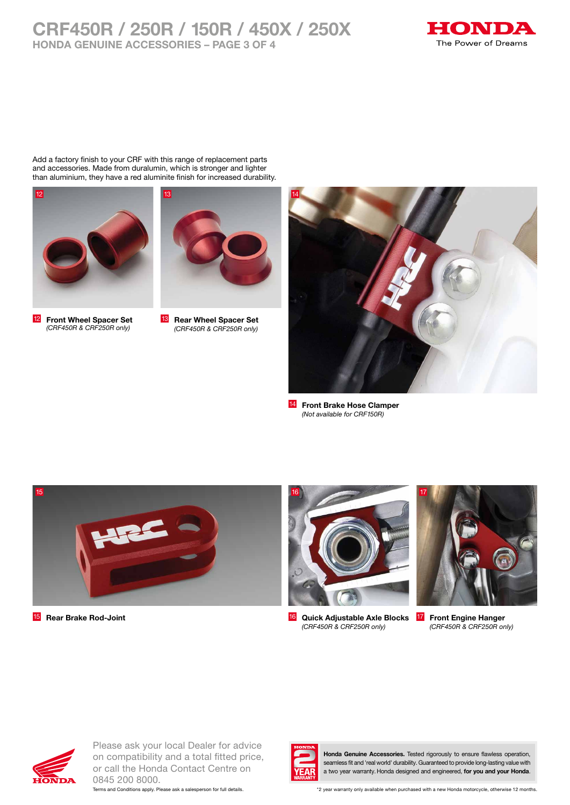## **CRF450R / 250R / 150R / 450X / 250X HONDA GENUINE ACCESSORIES – PAGE 3 OF 4**



Add a factory finish to your CRF with this range of replacement parts and accessories. Made from duralumin, which is stronger and lighter than aluminium, they have a red aluminite finish for increased durability.



12 **Front Wheel Spacer Set**  *(CRF450R & CRF250R only)*



13 **Rear Wheel Spacer Set**  *(CRF450R & CRF250R only)*



14 **Front Brake Hose Clamper**  *(Not available for CRF150R)*





15 **Rear Brake Rod-Joint** 16 **Quick Adjustable Axle Blocks**  *(CRF450R & CRF250R only)*



**Front Engine Hanger** *(CRF450R & CRF250R only)*



Please ask your local Dealer for advice on compatibility and a total fitted price, or call the Honda Contact Centre on 0845 200 8000.





**Honda Genuine Accessories.** Tested rigorously to ensure flawless operation, seamless fit and 'real world' durability. Guaranteed to provide long-lasting value with a two year warranty. Honda designed and engineered, **for you and your Honda**.

Terms and Conditions apply. Please ask a salesperson for full details. \*2 year warranty only available when purchased with a new Honda motorcycle, otherwise 12 months.